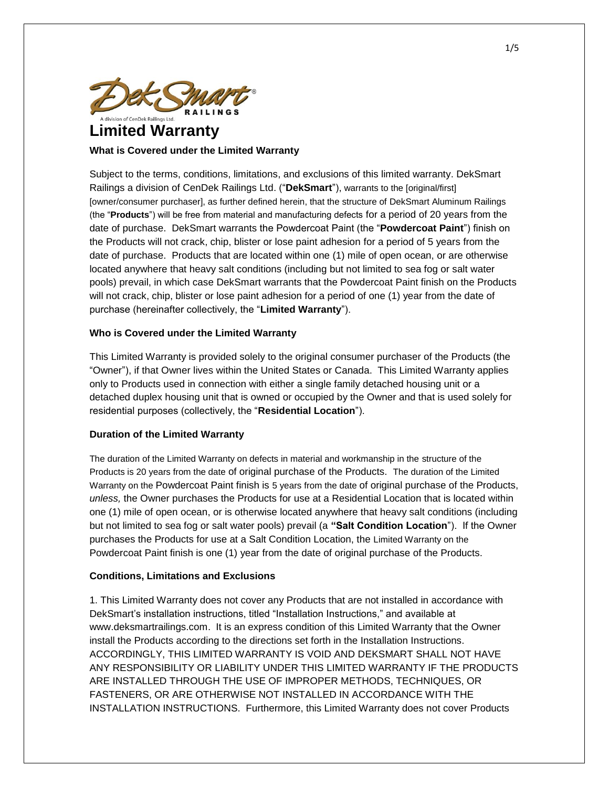

# **Limited Warranty**

# **What is Covered under the Limited Warranty**

Subject to the terms, conditions, limitations, and exclusions of this limited warranty. DekSmart Railings a division of CenDek Railings Ltd. ("**DekSmart**"), warrants to the [original/first] [owner/consumer purchaser], as further defined herein, that the structure of DekSmart Aluminum Railings (the "**Products**") will be free from material and manufacturing defects for a period of 20 years from the date of purchase. DekSmart warrants the Powdercoat Paint (the "**Powdercoat Paint**") finish on the Products will not crack, chip, blister or lose paint adhesion for a period of 5 years from the date of purchase. Products that are located within one (1) mile of open ocean, or are otherwise located anywhere that heavy salt conditions (including but not limited to sea fog or salt water pools) prevail, in which case DekSmart warrants that the Powdercoat Paint finish on the Products will not crack, chip, blister or lose paint adhesion for a period of one (1) year from the date of purchase (hereinafter collectively, the "**Limited Warranty**").

# **Who is Covered under the Limited Warranty**

This Limited Warranty is provided solely to the original consumer purchaser of the Products (the "Owner"), if that Owner lives within the United States or Canada. This Limited Warranty applies only to Products used in connection with either a single family detached housing unit or a detached duplex housing unit that is owned or occupied by the Owner and that is used solely for residential purposes (collectively, the "**Residential Location**").

# **Duration of the Limited Warranty**

The duration of the Limited Warranty on defects in material and workmanship in the structure of the Products is 20 years from the date of original purchase of the Products. The duration of the Limited Warranty on the Powdercoat Paint finish is 5 years from the date of original purchase of the Products, *unless,* the Owner purchases the Products for use at a Residential Location that is located within one (1) mile of open ocean, or is otherwise located anywhere that heavy salt conditions (including but not limited to sea fog or salt water pools) prevail (a **"Salt Condition Location**"). If the Owner purchases the Products for use at a Salt Condition Location, the Limited Warranty on the Powdercoat Paint finish is one (1) year from the date of original purchase of the Products.

# **Conditions, Limitations and Exclusions**

1. This Limited Warranty does not cover any Products that are not installed in accordance with DekSmart's installation instructions, titled "Installation Instructions," and available at www.deksmartrailings.com. It is an express condition of this Limited Warranty that the Owner install the Products according to the directions set forth in the Installation Instructions. ACCORDINGLY, THIS LIMITED WARRANTY IS VOID AND DEKSMART SHALL NOT HAVE ANY RESPONSIBILITY OR LIABILITY UNDER THIS LIMITED WARRANTY IF THE PRODUCTS ARE INSTALLED THROUGH THE USE OF IMPROPER METHODS, TECHNIQUES, OR FASTENERS, OR ARE OTHERWISE NOT INSTALLED IN ACCORDANCE WITH THE INSTALLATION INSTRUCTIONS. Furthermore, this Limited Warranty does not cover Products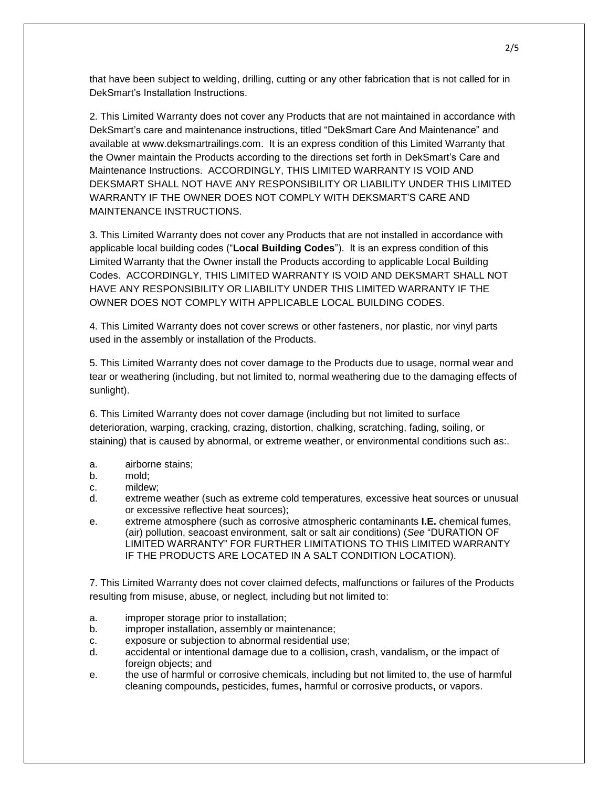that have been subject to welding, drilling, cutting or any other fabrication that is not called for in DekSmart's Installation Instructions.

2. This Limited Warranty does not cover any Products that are not maintained in accordance with DekSmart's care and maintenance instructions, titled "DekSmart Care And Maintenance" and available at www.deksmartrailings.com. It is an express condition of this Limited Warranty that the Owner maintain the Products according to the directions set forth in DekSmart's Care and Maintenance Instructions. ACCORDINGLY, THIS LIMITED WARRANTY IS VOID AND DEKSMART SHALL NOT HAVE ANY RESPONSIBILITY OR LIABILITY UNDER THIS LIMITED WARRANTY IF THE OWNER DOES NOT COMPLY WITH DEKSMART'S CARE AND MAINTENANCE INSTRUCTIONS.

3. This Limited Warranty does not cover any Products that are not installed in accordance with applicable local building codes ("**Local Building Codes**"). It is an express condition of this Limited Warranty that the Owner install the Products according to applicable Local Building Codes. ACCORDINGLY, THIS LIMITED WARRANTY IS VOID AND DEKSMART SHALL NOT HAVE ANY RESPONSIBILITY OR LIABILITY UNDER THIS LIMITED WARRANTY IF THE OWNER DOES NOT COMPLY WITH APPLICABLE LOCAL BUILDING CODES.

4. This Limited Warranty does not cover screws or other fasteners, nor plastic, nor vinyl parts used in the assembly or installation of the Products.

5. This Limited Warranty does not cover damage to the Products due to usage, normal wear and tear or weathering (including, but not limited to, normal weathering due to the damaging effects of sunlight).

6. This Limited Warranty does not cover damage (including but not limited to surface deterioration, warping, cracking, crazing, distortion, chalking, scratching, fading, soiling, or staining) that is caused by abnormal, or extreme weather, or environmental conditions such as:.

- a. airborne stains;
- b. mold;
- c. mildew;
- d. extreme weather (such as extreme cold temperatures, excessive heat sources or unusual or excessive reflective heat sources);
- e. extreme atmosphere (such as corrosive atmospheric contaminants **I.E.** chemical fumes, (air) pollution, seacoast environment, salt or salt air conditions) (*See* "DURATION OF LIMITED WARRANTY" FOR FURTHER LIMITATIONS TO THIS LIMITED WARRANTY IF THE PRODUCTS ARE LOCATED IN A SALT CONDITION LOCATION).

7. This Limited Warranty does not cover claimed defects, malfunctions or failures of the Products resulting from misuse, abuse, or neglect, including but not limited to:

- a. improper storage prior to installation;
- b. improper installation, assembly or maintenance;
- c. exposure or subjection to abnormal residential use;
- d. accidental or intentional damage due to a collision**,** crash, vandalism**,** or the impact of foreign objects; and
- e. the use of harmful or corrosive chemicals, including but not limited to, the use of harmful cleaning compounds**,** pesticides, fumes**,** harmful or corrosive products**,** or vapors.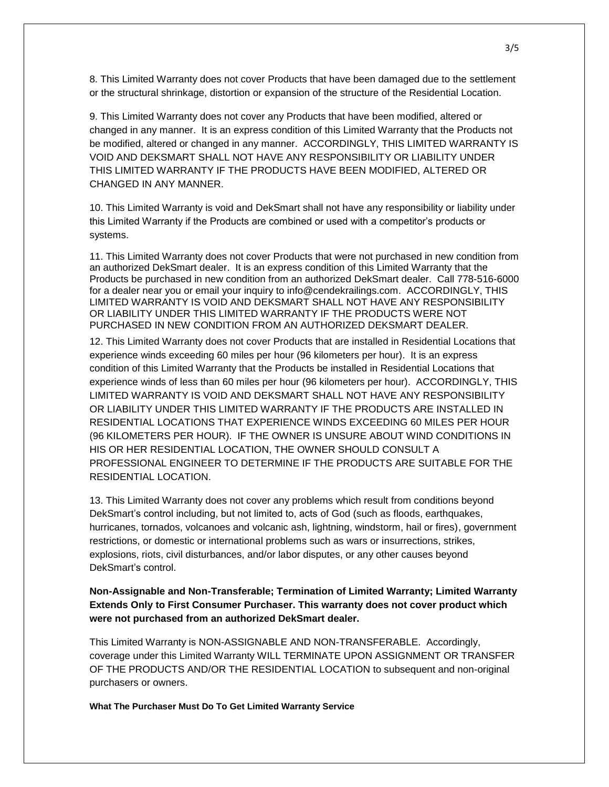8. This Limited Warranty does not cover Products that have been damaged due to the settlement or the structural shrinkage, distortion or expansion of the structure of the Residential Location.

9. This Limited Warranty does not cover any Products that have been modified, altered or changed in any manner. It is an express condition of this Limited Warranty that the Products not be modified, altered or changed in any manner. ACCORDINGLY, THIS LIMITED WARRANTY IS VOID AND DEKSMART SHALL NOT HAVE ANY RESPONSIBILITY OR LIABILITY UNDER THIS LIMITED WARRANTY IF THE PRODUCTS HAVE BEEN MODIFIED, ALTERED OR CHANGED IN ANY MANNER.

10. This Limited Warranty is void and DekSmart shall not have any responsibility or liability under this Limited Warranty if the Products are combined or used with a competitor's products or systems.

11. This Limited Warranty does not cover Products that were not purchased in new condition from an authorized DekSmart dealer. It is an express condition of this Limited Warranty that the Products be purchased in new condition from an authorized DekSmart dealer. Call 778-516-6000 for a dealer near you or email your inquiry to info@cendekrailings.com. ACCORDINGLY, THIS LIMITED WARRANTY IS VOID AND DEKSMART SHALL NOT HAVE ANY RESPONSIBILITY OR LIABILITY UNDER THIS LIMITED WARRANTY IF THE PRODUCTS WERE NOT PURCHASED IN NEW CONDITION FROM AN AUTHORIZED DEKSMART DEALER.

12. This Limited Warranty does not cover Products that are installed in Residential Locations that experience winds exceeding 60 miles per hour (96 kilometers per hour). It is an express condition of this Limited Warranty that the Products be installed in Residential Locations that experience winds of less than 60 miles per hour (96 kilometers per hour). ACCORDINGLY, THIS LIMITED WARRANTY IS VOID AND DEKSMART SHALL NOT HAVE ANY RESPONSIBILITY OR LIABILITY UNDER THIS LIMITED WARRANTY IF THE PRODUCTS ARE INSTALLED IN RESIDENTIAL LOCATIONS THAT EXPERIENCE WINDS EXCEEDING 60 MILES PER HOUR (96 KILOMETERS PER HOUR). IF THE OWNER IS UNSURE ABOUT WIND CONDITIONS IN HIS OR HER RESIDENTIAL LOCATION, THE OWNER SHOULD CONSULT A PROFESSIONAL ENGINEER TO DETERMINE IF THE PRODUCTS ARE SUITABLE FOR THE RESIDENTIAL LOCATION.

13. This Limited Warranty does not cover any problems which result from conditions beyond DekSmart's control including, but not limited to, acts of God (such as floods, earthquakes, hurricanes, tornados, volcanoes and volcanic ash, lightning, windstorm, hail or fires), government restrictions, or domestic or international problems such as wars or insurrections, strikes, explosions, riots, civil disturbances, and/or labor disputes, or any other causes beyond DekSmart's control.

**Non-Assignable and Non-Transferable; Termination of Limited Warranty; Limited Warranty Extends Only to First Consumer Purchaser. This warranty does not cover product which were not purchased from an authorized DekSmart dealer.**

This Limited Warranty is NON-ASSIGNABLE AND NON-TRANSFERABLE. Accordingly, coverage under this Limited Warranty WILL TERMINATE UPON ASSIGNMENT OR TRANSFER OF THE PRODUCTS AND/OR THE RESIDENTIAL LOCATION to subsequent and non-original purchasers or owners.

**What The Purchaser Must Do To Get Limited Warranty Service**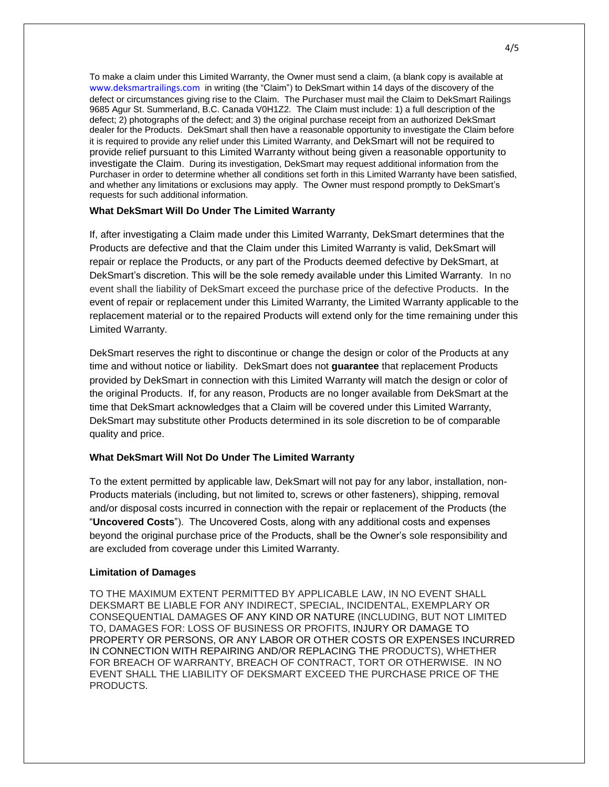To make a claim under this Limited Warranty, the Owner must send a claim, (a blank copy is available at [www.deksmartrailings.com](http://www.deksmartrailings.com/) in writing (the "Claim") to DekSmart within 14 days of the discovery of the defect or circumstances giving rise to the Claim. The Purchaser must mail the Claim to DekSmart Railings 9685 Agur St. Summerland, B.C. Canada V0H1Z2. The Claim must include: 1) a full description of the defect; 2) photographs of the defect; and 3) the original purchase receipt from an authorized DekSmart dealer for the Products. DekSmart shall then have a reasonable opportunity to investigate the Claim before it is required to provide any relief under this Limited Warranty, and DekSmart will not be required to provide relief pursuant to this Limited Warranty without being given a reasonable opportunity to investigate the Claim. During its investigation, DekSmart may request additional information from the Purchaser in order to determine whether all conditions set forth in this Limited Warranty have been satisfied, and whether any limitations or exclusions may apply. The Owner must respond promptly to DekSmart's requests for such additional information.

## **What DekSmart Will Do Under The Limited Warranty**

If, after investigating a Claim made under this Limited Warranty, DekSmart determines that the Products are defective and that the Claim under this Limited Warranty is valid, DekSmart will repair or replace the Products, or any part of the Products deemed defective by DekSmart, at DekSmart's discretion. This will be the sole remedy available under this Limited Warranty. In no event shall the liability of DekSmart exceed the purchase price of the defective Products. In the event of repair or replacement under this Limited Warranty, the Limited Warranty applicable to the replacement material or to the repaired Products will extend only for the time remaining under this Limited Warranty.

DekSmart reserves the right to discontinue or change the design or color of the Products at any time and without notice or liability. DekSmart does not **guarantee** that replacement Products provided by DekSmart in connection with this Limited Warranty will match the design or color of the original Products. If, for any reason, Products are no longer available from DekSmart at the time that DekSmart acknowledges that a Claim will be covered under this Limited Warranty, DekSmart may substitute other Products determined in its sole discretion to be of comparable quality and price.

## **What DekSmart Will Not Do Under The Limited Warranty**

To the extent permitted by applicable law, DekSmart will not pay for any labor, installation, non-Products materials (including, but not limited to, screws or other fasteners), shipping, removal and/or disposal costs incurred in connection with the repair or replacement of the Products (the "**Uncovered Costs**"). The Uncovered Costs, along with any additional costs and expenses beyond the original purchase price of the Products, shall be the Owner's sole responsibility and are excluded from coverage under this Limited Warranty.

#### **Limitation of Damages**

TO THE MAXIMUM EXTENT PERMITTED BY APPLICABLE LAW, IN NO EVENT SHALL DEKSMART BE LIABLE FOR ANY INDIRECT, SPECIAL, INCIDENTAL, EXEMPLARY OR CONSEQUENTIAL DAMAGES OF ANY KIND OR NATURE (INCLUDING, BUT NOT LIMITED TO, DAMAGES FOR: LOSS OF BUSINESS OR PROFITS, INJURY OR DAMAGE TO PROPERTY OR PERSONS, OR ANY LABOR OR OTHER COSTS OR EXPENSES INCURRED IN CONNECTION WITH REPAIRING AND/OR REPLACING THE PRODUCTS), WHETHER FOR BREACH OF WARRANTY, BREACH OF CONTRACT, TORT OR OTHERWISE. IN NO EVENT SHALL THE LIABILITY OF DEKSMART EXCEED THE PURCHASE PRICE OF THE PRODUCTS.